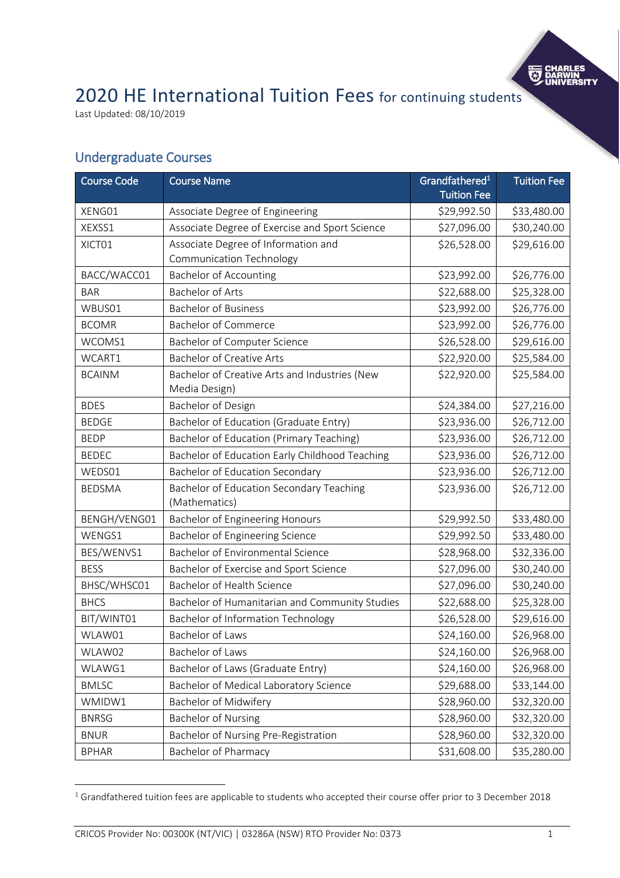

# 2020 HE International Tuition Fees for continuing students

Last Updated: 08/10/2019

### Undergraduate Courses

| <b>Course Code</b> | <b>Course Name</b>                                             | Grandfathered <sup>1</sup><br><b>Tuition Fee</b> | <b>Tuition Fee</b> |
|--------------------|----------------------------------------------------------------|--------------------------------------------------|--------------------|
| XENG01             | Associate Degree of Engineering                                | \$29,992.50                                      | \$33,480.00        |
| XEXSS1             | Associate Degree of Exercise and Sport Science                 | \$27,096.00                                      | \$30,240.00        |
| XICT01             | Associate Degree of Information and                            | \$26,528.00                                      | \$29,616.00        |
|                    | Communication Technology                                       |                                                  |                    |
| BACC/WACC01        | <b>Bachelor of Accounting</b>                                  | \$23,992.00                                      | \$26,776.00        |
| <b>BAR</b>         | Bachelor of Arts                                               | \$22,688.00                                      | \$25,328.00        |
| WBUS01             | <b>Bachelor of Business</b>                                    | \$23,992.00                                      | \$26,776.00        |
| <b>BCOMR</b>       | <b>Bachelor of Commerce</b>                                    | \$23,992.00                                      | \$26,776.00        |
| WCOMS1             | Bachelor of Computer Science                                   | \$26,528.00                                      | \$29,616.00        |
| WCART1             | <b>Bachelor of Creative Arts</b>                               | \$22,920.00                                      | \$25,584.00        |
| <b>BCAINM</b>      | Bachelor of Creative Arts and Industries (New<br>Media Design) | \$22,920.00                                      | \$25,584.00        |
| <b>BDES</b>        | Bachelor of Design                                             | \$24,384.00                                      | \$27,216.00        |
| <b>BEDGE</b>       | Bachelor of Education (Graduate Entry)                         | \$23,936.00                                      | \$26,712.00        |
| <b>BEDP</b>        | Bachelor of Education (Primary Teaching)                       | \$23,936.00                                      | \$26,712.00        |
| <b>BEDEC</b>       | Bachelor of Education Early Childhood Teaching                 | \$23,936.00                                      | \$26,712.00        |
| WEDS01             | Bachelor of Education Secondary                                | \$23,936.00                                      | \$26,712.00        |
| <b>BEDSMA</b>      | Bachelor of Education Secondary Teaching<br>(Mathematics)      | \$23,936.00                                      | \$26,712.00        |
| BENGH/VENG01       | Bachelor of Engineering Honours                                | \$29,992.50                                      | \$33,480.00        |
| WENGS1             | Bachelor of Engineering Science                                | \$29,992.50                                      | \$33,480.00        |
| BES/WENVS1         | Bachelor of Environmental Science                              | \$28,968.00                                      | \$32,336.00        |
| <b>BESS</b>        | Bachelor of Exercise and Sport Science                         | \$27,096.00                                      | \$30,240.00        |
| BHSC/WHSC01        | Bachelor of Health Science                                     | \$27,096.00                                      | \$30,240.00        |
| <b>BHCS</b>        | Bachelor of Humanitarian and Community Studies                 | \$22,688.00                                      | \$25,328.00        |
| BIT/WINT01         | Bachelor of Information Technology                             | \$26,528.00                                      | \$29,616.00        |
| WLAW01             | Bachelor of Laws                                               | \$24,160.00                                      | \$26,968.00        |
| WLAW02             | Bachelor of Laws                                               | \$24,160.00                                      | \$26,968.00        |
| WLAWG1             | Bachelor of Laws (Graduate Entry)                              | \$24,160.00                                      | \$26,968.00        |
| <b>BMLSC</b>       | Bachelor of Medical Laboratory Science                         | \$29,688.00                                      | \$33,144.00        |
| WMIDW1             | Bachelor of Midwifery                                          | \$28,960.00                                      | \$32,320.00        |
| <b>BNRSG</b>       | <b>Bachelor of Nursing</b>                                     | \$28,960.00                                      | \$32,320.00        |
| <b>BNUR</b>        | Bachelor of Nursing Pre-Registration                           | \$28,960.00                                      | \$32,320.00        |
| <b>BPHAR</b>       | <b>Bachelor of Pharmacy</b>                                    | \$31,608.00                                      | \$35,280.00        |

<sup>&</sup>lt;sup>1</sup> Grandfathered tuition fees are applicable to students who accepted their course offer prior to 3 December 2018

 $\overline{a}$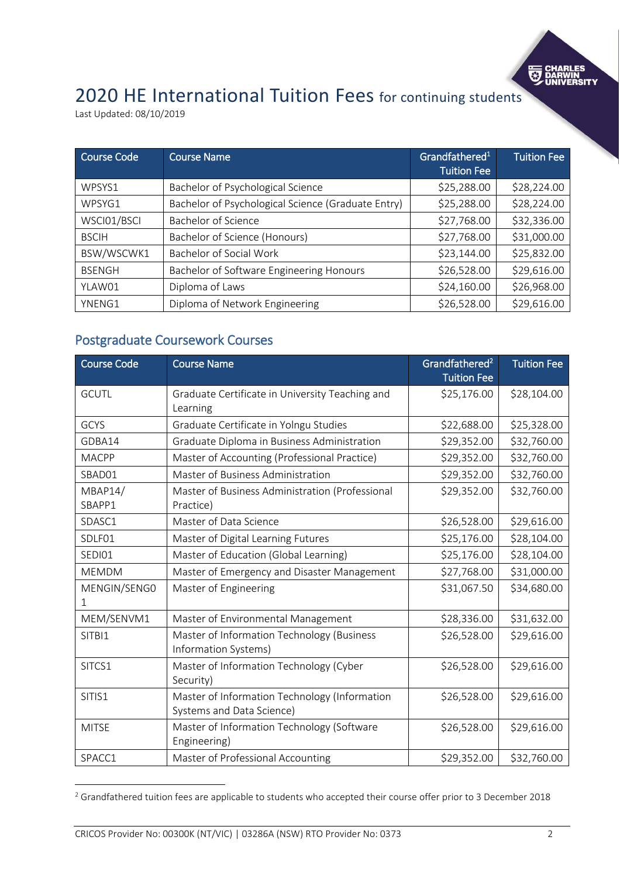

## 2020 HE International Tuition Fees for continuing students

Last Updated: 08/10/2019

| <b>Course Code</b> | <b>Course Name</b>                                 | Grandfathered <sup>1</sup><br><b>Tuition Fee</b> | <b>Tuition Fee</b> |
|--------------------|----------------------------------------------------|--------------------------------------------------|--------------------|
| WPSYS1             | Bachelor of Psychological Science                  | \$25,288.00                                      | \$28,224.00        |
| WPSYG1             | Bachelor of Psychological Science (Graduate Entry) | \$25,288.00                                      | \$28,224.00        |
| WSCI01/BSCI        | Bachelor of Science                                | \$27,768.00                                      | \$32,336.00        |
| <b>BSCIH</b>       | Bachelor of Science (Honours)                      | \$27,768.00                                      | \$31,000.00        |
| BSW/WSCWK1         | Bachelor of Social Work                            | \$23,144.00                                      | \$25,832.00        |
| <b>BSENGH</b>      | Bachelor of Software Engineering Honours           | \$26,528.00                                      | \$29,616.00        |
| YLAW01             | Diploma of Laws                                    | \$24,160.00                                      | \$26,968.00        |
| YNENG1             | Diploma of Network Engineering                     | \$26,528.00                                      | \$29,616.00        |

### Postgraduate Coursework Courses

| <b>Course Code</b> | <b>Course Name</b>                                                         | Grandfathered <sup>2</sup><br><b>Tuition Fee</b> | <b>Tuition Fee</b> |
|--------------------|----------------------------------------------------------------------------|--------------------------------------------------|--------------------|
| <b>GCUTL</b>       | Graduate Certificate in University Teaching and<br>Learning                | \$25,176.00                                      | \$28,104.00        |
| GCYS               | Graduate Certificate in Yolngu Studies                                     | \$22,688.00                                      | \$25,328.00        |
| GDBA14             | Graduate Diploma in Business Administration                                | \$29,352.00                                      | \$32,760.00        |
| <b>MACPP</b>       | Master of Accounting (Professional Practice)                               | \$29,352.00                                      | \$32,760.00        |
| SBAD01             | Master of Business Administration                                          | \$29,352.00                                      | \$32,760.00        |
| MBAP14/<br>SBAPP1  | Master of Business Administration (Professional<br>Practice)               | \$29,352.00                                      | \$32,760.00        |
| SDASC1             | Master of Data Science                                                     | \$26,528.00                                      | \$29,616.00        |
| SDLF01             | Master of Digital Learning Futures                                         | \$25,176.00                                      | \$28,104.00        |
| SEDI01             | Master of Education (Global Learning)                                      | \$25,176.00                                      | \$28,104.00        |
| <b>MEMDM</b>       | Master of Emergency and Disaster Management                                | \$27,768.00                                      | \$31,000.00        |
| MENGIN/SENGO<br>T  | Master of Engineering                                                      | \$31,067.50                                      | \$34,680.00        |
| MEM/SENVM1         | Master of Environmental Management                                         | \$28,336.00                                      | \$31,632.00        |
| SITBI1             | Master of Information Technology (Business<br>Information Systems)         | \$26,528.00                                      | \$29,616.00        |
| SITCS1             | Master of Information Technology (Cyber<br>Security)                       | \$26,528.00                                      | \$29,616.00        |
| SITIS1             | Master of Information Technology (Information<br>Systems and Data Science) | \$26,528.00                                      | \$29,616.00        |
| <b>MITSE</b>       | Master of Information Technology (Software<br>Engineering)                 | \$26,528.00                                      | \$29,616.00        |
| SPACC1             | Master of Professional Accounting                                          | \$29,352.00                                      | \$32,760.00        |

<sup>&</sup>lt;sup>2</sup> Grandfathered tuition fees are applicable to students who accepted their course offer prior to 3 December 2018

 $\overline{a}$